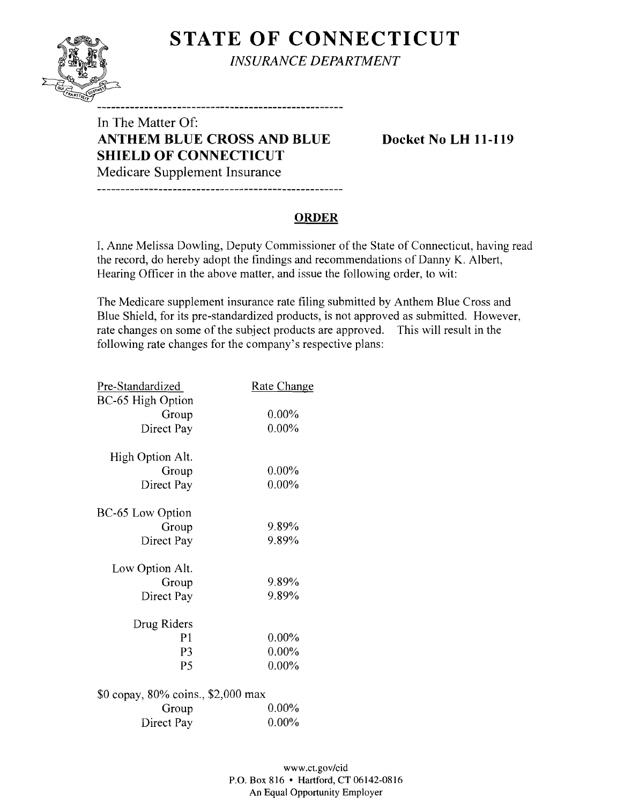# **STATE OF CONNECTICUT**



*INSURANCE DEPARTMENT* 

----------------------------------

In The Matter Of: **ANTHEM BLUE CROSS AND BLUE Docket No LH 11-119 SHIELD OF CONNECTICUT**  Medicare Supplement Insurance

#### **ORDER**

I, Anne Melissa Dowling, Deputy Commissioner of the State of Connecticut, having read the record, do hereby adopt the findings and recommendations of Danny K. Albert, Hearing Officer in the above matter, and issue the following order, to wit:

The Medicare supplement insurance rate filing submitted by Anthem Blue Cross and Blue Shield, for its pre-standardized products, is not approved as submitted. However, rate changes on some of the subject products are approved. This will result in the following rate changes for the company's respective plans:

| Pre-Standardized                   | Rate Change |
|------------------------------------|-------------|
| BC-65 High Option                  |             |
| Group                              | $0.00\%$    |
| Direct Pay                         | $0.00\%$    |
|                                    |             |
| High Option Alt.                   |             |
| Group                              | $0.00\%$    |
| Direct Pay                         | $0.00\%$    |
| BC-65 Low Option                   |             |
| Group                              | 9.89%       |
| Direct Pay                         | 9.89%       |
| Low Option Alt.                    |             |
| Group                              | 9.89%       |
| Direct Pay                         | 9.89%       |
| Drug Riders                        |             |
| P1                                 | $0.00\%$    |
|                                    |             |
| P3                                 | $0.00\%$    |
| P <sub>5</sub>                     | $0.00\%$    |
| \$0 copay, 80% coins., \$2,000 max |             |
| Group                              | $0.00\%$    |
| Direct Pay                         | $0.00\%$    |
|                                    |             |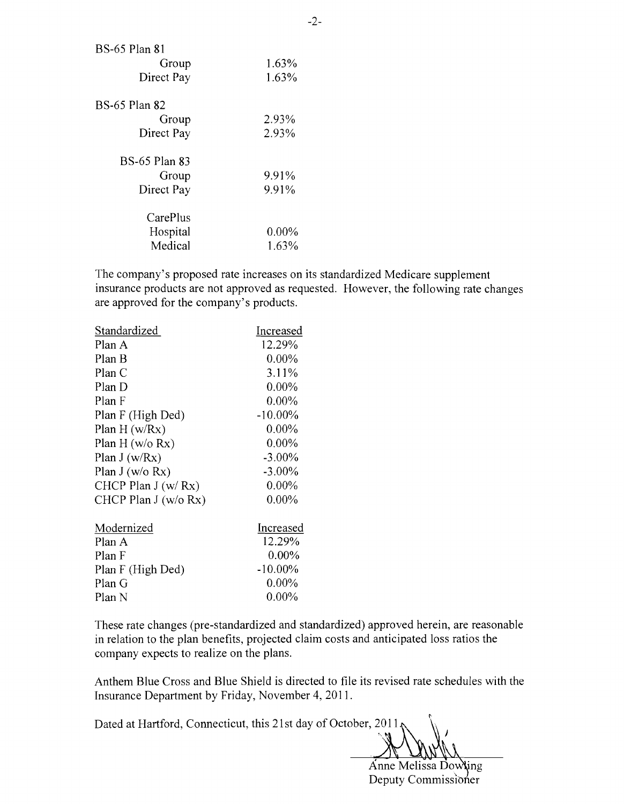| 1.63%    |
|----------|
| 1.63%    |
|          |
| 2.93%    |
| 2.93%    |
|          |
| 9.91%    |
| 9.91%    |
|          |
| $0.00\%$ |
| 1.63%    |
|          |

The company's proposed rate increases on its standardized Medicare supplement insurance products are not approved as requested. However, the following rate changes are approved for the company's products.

| Increased  |
|------------|
| 12.29%     |
| $0.00\%$   |
| $3.11\%$   |
| $0.00\%$   |
| $0.00\%$   |
| $-10.00\%$ |
| $0.00\%$   |
| $0.00\%$   |
| $-3.00\%$  |
| $-3.00\%$  |
| $0.00\%$   |
| $0.00\%$   |
| Increased  |
| 12.29%     |
| $0.00\%$   |
| $-10.00\%$ |
| $0.00\%$   |
| $0.00\%$   |
|            |

These rate changes (pre-standardized and standardized) approved herein, are reasonable in relation to the plan benefits, projected claim costs and anticipated loss ratios the company expects to realize on the plans.

Anthem Blue Cross and Blue Shield is directed to file its revised rate schedules with the Insurance Department by Friday, November 4,2011.

Dated at Hartford, Connecticut, this 21 st day of October, **2011** 

". "

Anne Melissa Dowling Deputy Commissioner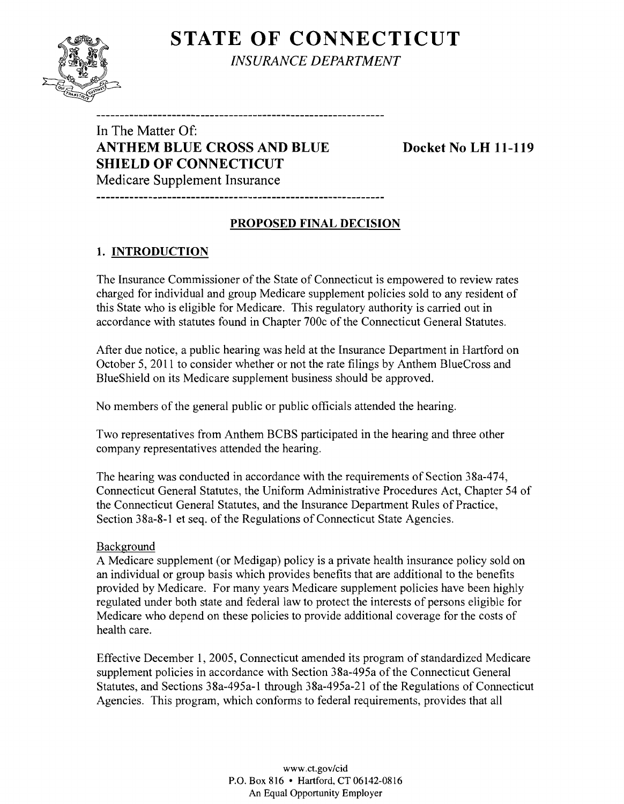# **STATE OF CONNECTICUT**



*INSURANCE DEPARTMENT* 

In The Matter Of: **ANTHEM BLUE CROSS AND BLUE Docket No LH 11-119 SHIELD OF CONNECTICUT**  Medicare Supplement Insurance

### **PROPOSED FINAL DECISION**

----------------------------

## **1. INTRODUCTION**

The Insurance Commissioner of the State of Connecticut is empowered to review rates charged for individual and group Medicare supplement policies sold to any resident of this State who is eligible for Medicare. This regulatory authority is carried out in accordance with statutes found in Chapter 700c of the Connecticut General Statutes.

After due notice, a public hearing was held at the Insurance Department in Hartford on October 5,2011 to consider whether or not the rate filings by Anthem BlueCross and BlueShield on its Medicare supplement business should be approved.

No members of the general public or public officials attended the hearing.

Two representatives from Anthem BCBS participated in the hearing and three other company representatives attended the hearing.

The hearing was conducted in accordance with the requirements of Section 38a-474, Connecticut General Statutes, the Uniform Administrative Procedures Act, Chapter 54 of the Connecticut General Statutes, and the Insurance Department Rules of Practice, Section 38a-8-1 et seq. of the Regulations of Connecticut State Agencies.

#### Background

A Medicare supplement (or Medigap) policy is a private health insurance policy sold on an individual or group basis which provides benefits that are additional to the benefits provided by Medicare. For many years Medicare supplement policies have been highly regulated under both state and federal law to protect the interests of persons eligible for Medicare who depend on these policies to provide additional coverage for the costs of health care.

Effective December 1,2005, Connecticut amended its program of standardized Medicare supplement policies in accordance with Section 38a-495a of the Connecticut General Statutes, and Sections 38a-495a-1 through 38a-495a-21 of the Regulations of Connecticut Agencies. This program, which conforms to federal requirements, provides that all

> www.ct.gov/cid P.O. Box 816 • Hartford. CT 06142-0816 An Equal Opportunity Employer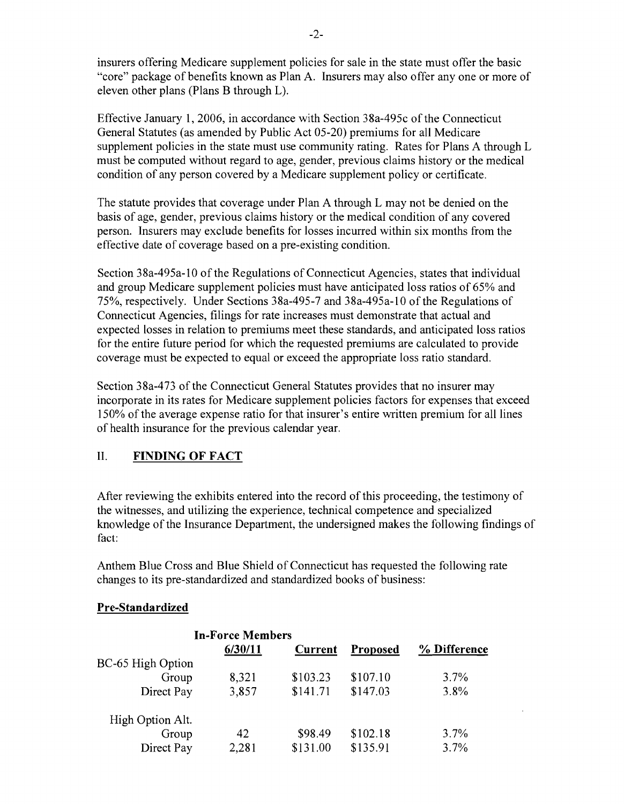insurers offering Medicare supplement policies for sale in the state must offer the basic "core" package of benefits known as Plan A. Insurers may also offer anyone or more of eleven other plans (Plans B through L).

Effective January 1,2006, in accordance with Section 38a-495c of the Connecticut General Statutes (as amended by Public Act 05-20) premiums for all Medicare supplement policies in the state must use community rating. Rates for Plans A through L must be computed without regard to age, gender, previous claims history or the medical condition of any person covered by a Medicare supplement policy or certificate.

The statute provides that coverage under Plan A through L may not be denied on the basis of age, gender, previous claims history or the medical condition of any covered person. Insurers may exclude benefits for losses incurred within six months from the effective date of coverage based on a pre-existing condition.

Section 38a-495a-1O of the Regulations of Connecticut Agencies, states that individual and group Medicare supplement policies must have anticipated loss ratios of 65% and 75%, respectively. Under Sections 38a-495-7 and 38a-495a-l 0 of the Regulations of Connecticut Agencies, filings for rate increases must demonstrate that actual and expected losses in relation to premiums meet these standards, and anticipated loss ratios for the entire future period for which the requested premiums are calculated to provide coverage must be expected to equal or exceed the appropriate loss ratio standard.

Section 38a-473 of the Connecticut General Statutes provides that no insurer may incorporate in its rates for Medicare supplement policies factors for expenses that exceed 150% of the average expense ratio for that insurer's entire written premium for all lines of health insurance for the previous calendar year.

### II. **FINDING OF FACT**

After reviewing the exhibits entered into the record of this proceeding, the testimony of the witnesses, and utilizing the experience, technical competence and specialized knowledge of the Insurance Department, the undersigned makes the following findings of fact:

Anthem Blue Cross and Blue Shield of Connecticut has requested the following rate changes to its pre-standardized and standardized books of business:

#### **Pre-Standardized**

|                   | <b>In-Force Members</b> |          |          |              |
|-------------------|-------------------------|----------|----------|--------------|
|                   | 6/30/11                 | Current  | Proposed | % Difference |
| BC-65 High Option |                         |          |          |              |
| Group             | 8,321                   | \$103.23 | \$107.10 | $3.7\%$      |
| Direct Pay        | 3,857                   | \$141.71 | \$147.03 | 3.8%         |
| High Option Alt.  |                         |          |          |              |
| Group             | 42                      | \$98.49  | \$102.18 | $3.7\%$      |
| Direct Pay        | 2,281                   | \$131.00 | \$135.91 | 3.7%         |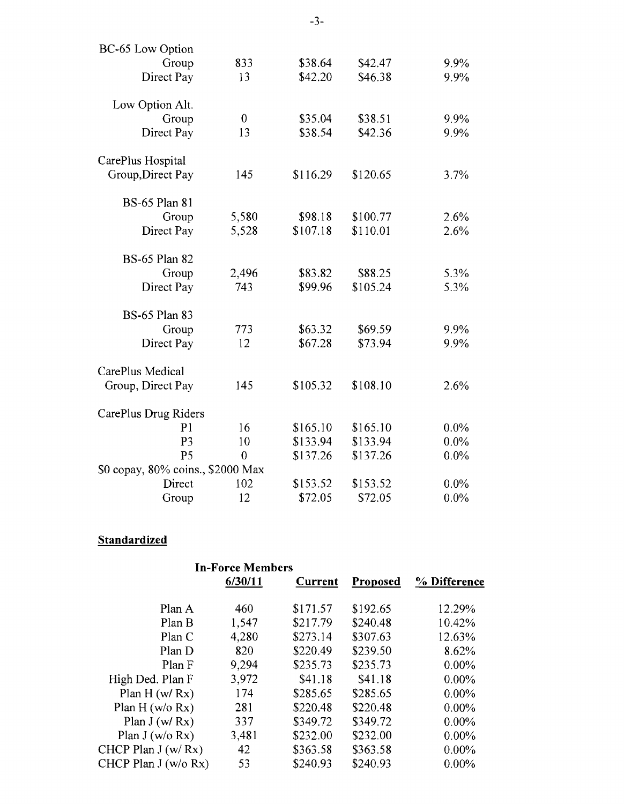| BC-65 Low Option                  |                  |          |          |         |
|-----------------------------------|------------------|----------|----------|---------|
| Group                             | 833              | \$38.64  | \$42.47  | 9.9%    |
| Direct Pay                        | 13               | \$42.20  | \$46.38  | 9.9%    |
| Low Option Alt.                   |                  |          |          |         |
| Group                             | $\boldsymbol{0}$ | \$35.04  | \$38.51  | 9.9%    |
| Direct Pay                        | 13               | \$38.54  | \$42.36  | 9.9%    |
| CarePlus Hospital                 |                  |          |          |         |
| Group, Direct Pay                 | 145              | \$116.29 | \$120.65 | 3.7%    |
| <b>BS-65 Plan 81</b>              |                  |          |          |         |
| Group                             | 5,580            | \$98.18  | \$100.77 | 2.6%    |
| Direct Pay                        | 5,528            | \$107.18 | \$110.01 | 2.6%    |
| <b>BS-65 Plan 82</b>              |                  |          |          |         |
| Group                             | 2,496            | \$83.82  | \$88.25  | 5.3%    |
| Direct Pay                        | 743              | \$99.96  | \$105.24 | 5.3%    |
| <b>BS-65 Plan 83</b>              |                  |          |          |         |
| Group                             | 773              | \$63.32  | \$69.59  | 9.9%    |
| Direct Pay                        | 12               | \$67.28  | \$73.94  | 9.9%    |
| CarePlus Medical                  |                  |          |          |         |
| Group, Direct Pay                 | 145              | \$105.32 | \$108.10 | 2.6%    |
| CarePlus Drug Riders              |                  |          |          |         |
| P <sub>1</sub>                    | 16               | \$165.10 | \$165.10 | $0.0\%$ |
| P <sub>3</sub>                    | 10               | \$133.94 | \$133.94 | 0.0%    |
| P <sub>5</sub>                    | $\overline{0}$   | \$137.26 | \$137.26 | $0.0\%$ |
| \$0 copay, 80% coins., \$2000 Max |                  |          |          |         |
| Direct                            | 102              | \$153.52 | \$153.52 | $0.0\%$ |
| Group                             | 12               | \$72.05  | \$72.05  | $0.0\%$ |

## **Standardized**

| 6/30/11<br>% Difference<br><b>Current</b><br><b>Proposed</b>   |  |
|----------------------------------------------------------------|--|
|                                                                |  |
| \$171.57<br>\$192.65<br>Plan A<br>12.29%<br>460                |  |
| \$217.79<br>1,547<br>\$240.48<br>10.42%<br>Plan B              |  |
| 4,280<br>\$273.14<br>\$307.63<br>12.63%<br>Plan C              |  |
| \$220.49<br>\$239.50<br>820<br>Plan D<br>8.62%                 |  |
| \$235.73<br>9,294<br>\$235.73<br>Plan F<br>$0.00\%$            |  |
| 3,972<br>\$41.18<br>\$41.18<br>High Ded. Plan F<br>$0.00\%$    |  |
| Plan $H(w/Rx)$<br>\$285.65<br>174<br>\$285.65<br>$0.00\%$      |  |
| Plan H ( $w/o$ Rx)<br>281<br>\$220.48<br>\$220.48<br>$0.00\%$  |  |
| \$349.72<br>\$349.72<br>Plan $J(w/Rx)$<br>337<br>$0.00\%$      |  |
| 3,481<br>\$232.00<br>Plan J (w/o Rx)<br>\$232.00<br>$0.00\%$   |  |
| \$363.58<br>CHCP Plan $J(w/Rx)$<br>42<br>\$363.58<br>$0.00\%$  |  |
| \$240.93<br>CHCP Plan J (w/o Rx)<br>53<br>\$240.93<br>$0.00\%$ |  |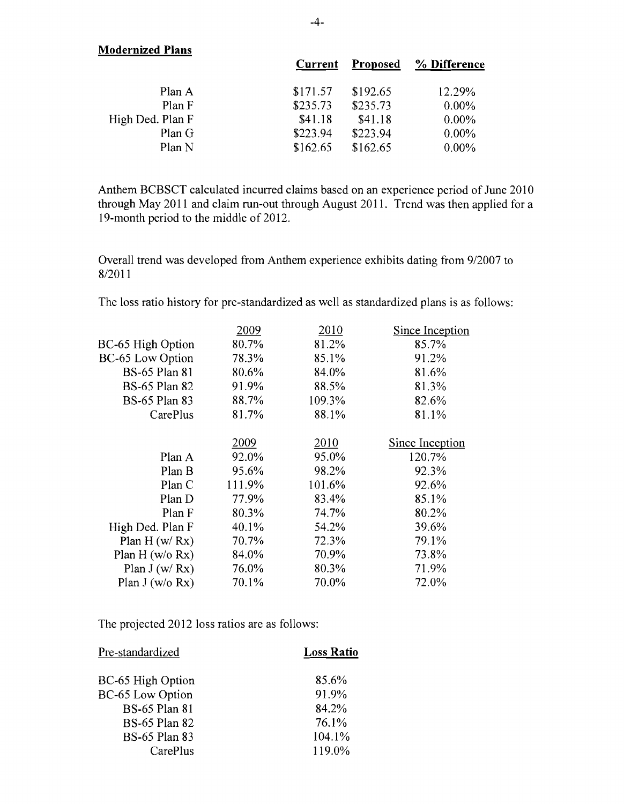| <b>Modernized Plans</b> |          |          |              |
|-------------------------|----------|----------|--------------|
|                         | Current  | Proposed | % Difference |
| Plan A                  | \$171.57 | \$192.65 | 12.29%       |
| Plan F                  | \$235.73 | \$235.73 | $0.00\%$     |
| High Ded. Plan F        | \$41.18  | \$41.18  | $0.00\%$     |
| Plan G                  | \$223.94 | \$223.94 | $0.00\%$     |
| Plan N                  | \$162.65 | \$162.65 | $0.00\%$     |

Anthem BCBSCT calculated incurred claims based on an experience period of June 2010 through May 2011 and claim run-out through August 2011. Trend was then applied for a 19-month period to the middle of 2012.

Overall trend was developed from Anthem experience exhibits dating from 9/2007 to 8/2011

The loss ratio history for pre-standardized as well as standardized plans is as follows:

|        |        | Since Inception |
|--------|--------|-----------------|
| 80.7%  | 81.2%  | 85.7%           |
| 78.3%  | 85.1%  | 91.2%           |
| 80.6%  | 84.0%  | 81.6%           |
| 91.9%  | 88.5%  | 81.3%           |
| 88.7%  | 109.3% | 82.6%           |
| 81.7%  | 88.1%  | 81.1%           |
|        |        |                 |
| 2009   | 2010   | Since Inception |
| 92.0%  | 95.0%  | 120.7%          |
| 95.6%  | 98.2%  | 92.3%           |
| 111.9% | 101.6% | 92.6%           |
| 77.9%  | 83.4%  | 85.1%           |
| 80.3%  | 74.7%  | 80.2%           |
| 40.1%  | 54.2%  | 39.6%           |
| 70.7%  | 72.3%  | 79.1%           |
| 84.0%  | 70.9%  | 73.8%           |
| 76.0%  | 80.3%  | 71.9%           |
| 70.1%  | 70.0%  | 72.0%           |
|        | 2009   | 2010            |

The projected 2012 loss ratios are as follows:

| Pre-standardized        | <b>Loss Ratio</b> |
|-------------------------|-------------------|
| BC-65 High Option       | 85.6%             |
| <b>BC-65 Low Option</b> | 91.9%             |
| <b>BS-65 Plan 81</b>    | 84.2%             |
| <b>BS-65 Plan 82</b>    | 76.1%             |
| <b>BS-65 Plan 83</b>    | 104.1%            |
| CarePlus                | 119.0%            |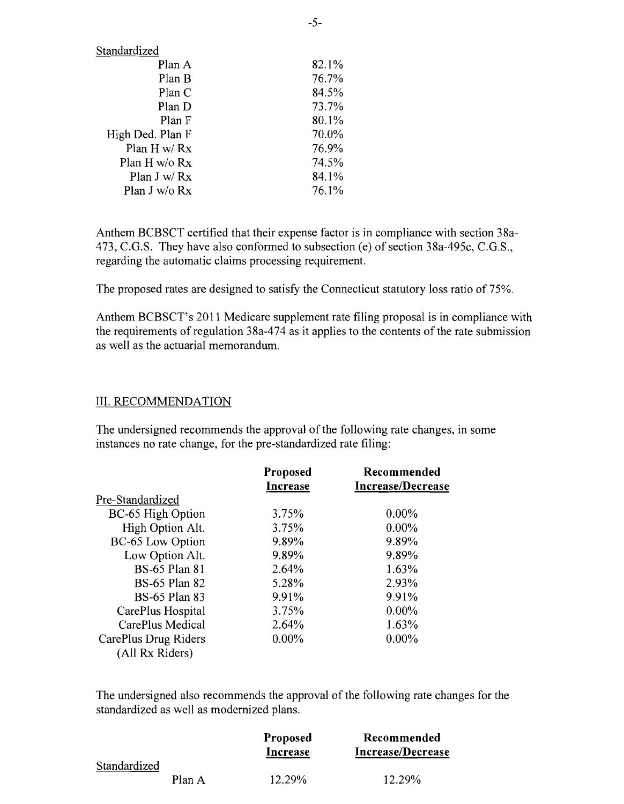| 82.1% |
|-------|
| 76.7% |
| 84.5% |
| 73.7% |
| 80.1% |
| 70.0% |
| 76.9% |
| 74.5% |
| 84.1% |
| 76.1% |
|       |

Anthem BCBSCT certified that their expense factor is in compliance with section 38a-473, C.G.S. They have also conformed to subsection (e) of section 38a-495c, C.G.S., regarding the automatic claims processing requirement.

The proposed rates are designed to satisfy the Connecticut statutory loss ratio of 75%.

Anthem BCBSCT's 2011 Medicare supplement rate filing proposal is in compliance with the requirements of regulation 38a-474 as it applies to the contents of the rate submission as well as the actuarial memorandum.

#### III. RECOMMENDATION

The undersigned recommends the approval of the following rate changes, in some instances no rate change, for the pre-standardized rate filing:

|                                         | <b>Proposed</b><br>Increase | Recommended<br><b>Increase/Decrease</b> |
|-----------------------------------------|-----------------------------|-----------------------------------------|
| Pre-Standardized                        |                             |                                         |
| BC-65 High Option                       | 3.75%                       | $0.00\%$                                |
| High Option Alt.                        | 3.75%                       | $0.00\%$                                |
| BC-65 Low Option                        | 9.89%                       | 9.89%                                   |
| Low Option Alt.                         | 9.89%                       | 9.89%                                   |
| <b>BS-65 Plan 81</b>                    | 2.64%                       | 1.63%                                   |
| <b>BS-65 Plan 82</b>                    | 5.28%                       | 2.93%                                   |
| <b>BS-65 Plan 83</b>                    | 9.91%                       | 9.91%                                   |
| CarePlus Hospital                       | 3.75%                       | $0.00\%$                                |
| CarePlus Medical                        | 2.64%                       | 1.63%                                   |
| CarePlus Drug Riders<br>(All Rx Riders) | $0.00\%$                    | $0.00\%$                                |

The undersigned also recommends the approval of the following rate changes for the standardized as well as modernized plans.

|              |        | <b>Proposed</b><br>Increase | Recommended<br>Increase/Decrease |
|--------------|--------|-----------------------------|----------------------------------|
| Standardized | Plan A | $12.29\%$                   | $12.29\%$                        |